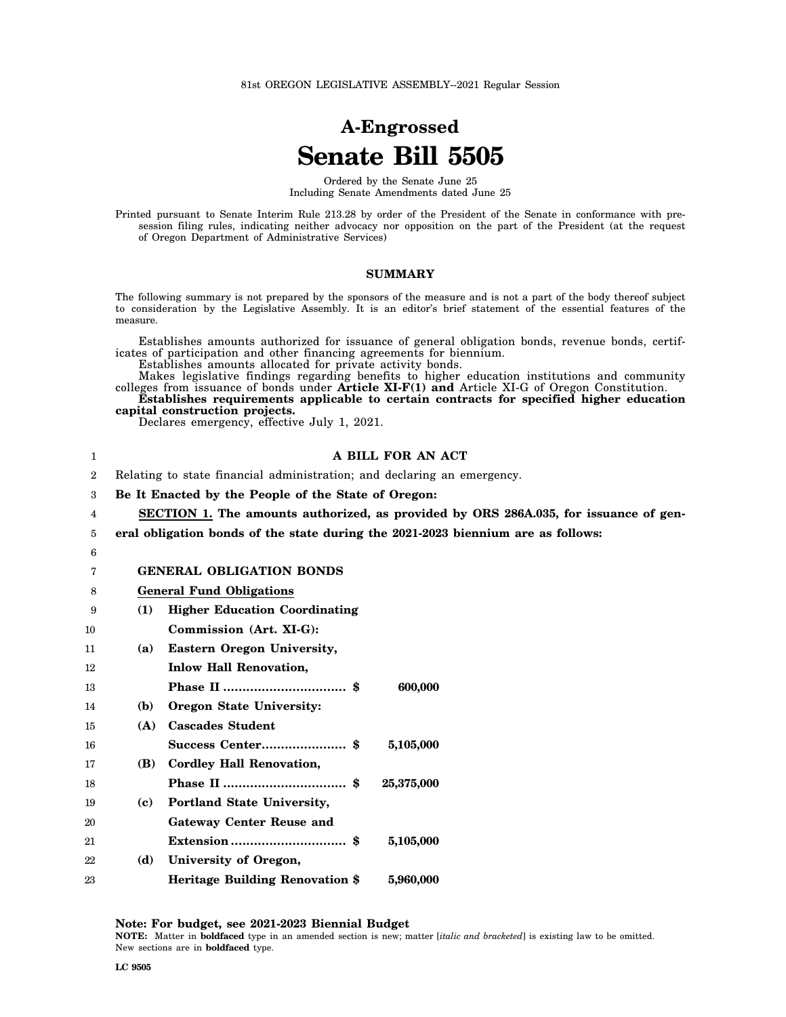81st OREGON LEGISLATIVE ASSEMBLY--2021 Regular Session

## **A-Engrossed Senate Bill 5505**

Ordered by the Senate June 25 Including Senate Amendments dated June 25

Printed pursuant to Senate Interim Rule 213.28 by order of the President of the Senate in conformance with presession filing rules, indicating neither advocacy nor opposition on the part of the President (at the request of Oregon Department of Administrative Services)

## **SUMMARY**

The following summary is not prepared by the sponsors of the measure and is not a part of the body thereof subject to consideration by the Legislative Assembly. It is an editor's brief statement of the essential features of the measure.

Establishes amounts authorized for issuance of general obligation bonds, revenue bonds, certificates of participation and other financing agreements for biennium.

Establishes amounts allocated for private activity bonds.

Makes legislative findings regarding benefits to higher education institutions and community colleges from issuance of bonds under **Article XI-F(1) and** Article XI-G of Oregon Constitution.

**Establishes requirements applicable to certain contracts for specified higher education capital construction projects.**

Declares emergency, effective July 1, 2021.

| 1              |                                                                         | A BILL FOR AN ACT                                                                    |  |
|----------------|-------------------------------------------------------------------------|--------------------------------------------------------------------------------------|--|
| $\overline{2}$ | Relating to state financial administration; and declaring an emergency. |                                                                                      |  |
| 3              |                                                                         | Be It Enacted by the People of the State of Oregon:                                  |  |
| 4              |                                                                         | SECTION 1. The amounts authorized, as provided by ORS 286A.035, for issuance of gen- |  |
| 5              |                                                                         | eral obligation bonds of the state during the 2021-2023 biennium are as follows:     |  |
| 6              |                                                                         |                                                                                      |  |
| 7              |                                                                         | <b>GENERAL OBLIGATION BONDS</b>                                                      |  |
| 8              |                                                                         | <b>General Fund Obligations</b>                                                      |  |
| 9              | (1)                                                                     | <b>Higher Education Coordinating</b>                                                 |  |
| 10             |                                                                         | Commission (Art. XI-G):                                                              |  |
| 11             | (a)                                                                     | <b>Eastern Oregon University,</b>                                                    |  |
| 12             |                                                                         | <b>Inlow Hall Renovation,</b>                                                        |  |
| 13             |                                                                         | 600,000                                                                              |  |
| 14             | (b)                                                                     | Oregon State University:                                                             |  |
| 15             | (A)                                                                     | <b>Cascades Student</b>                                                              |  |
| 16             |                                                                         | Success Center \$<br>5,105,000                                                       |  |
| 17             | (B)                                                                     | <b>Cordley Hall Renovation,</b>                                                      |  |
| 18             |                                                                         | 25,375,000                                                                           |  |
| 19             | (c)                                                                     | Portland State University,                                                           |  |
| 20             |                                                                         | <b>Gateway Center Reuse and</b>                                                      |  |
| 21             |                                                                         | 5,105,000                                                                            |  |
| 22             | (d)                                                                     | University of Oregon,                                                                |  |
| 23             |                                                                         | <b>Heritage Building Renovation \$</b><br>5,960,000                                  |  |

**Note: For budget, see 2021-2023 Biennial Budget NOTE:** Matter in **boldfaced** type in an amended section is new; matter [*italic and bracketed*] is existing law to be omitted. New sections are in **boldfaced** type.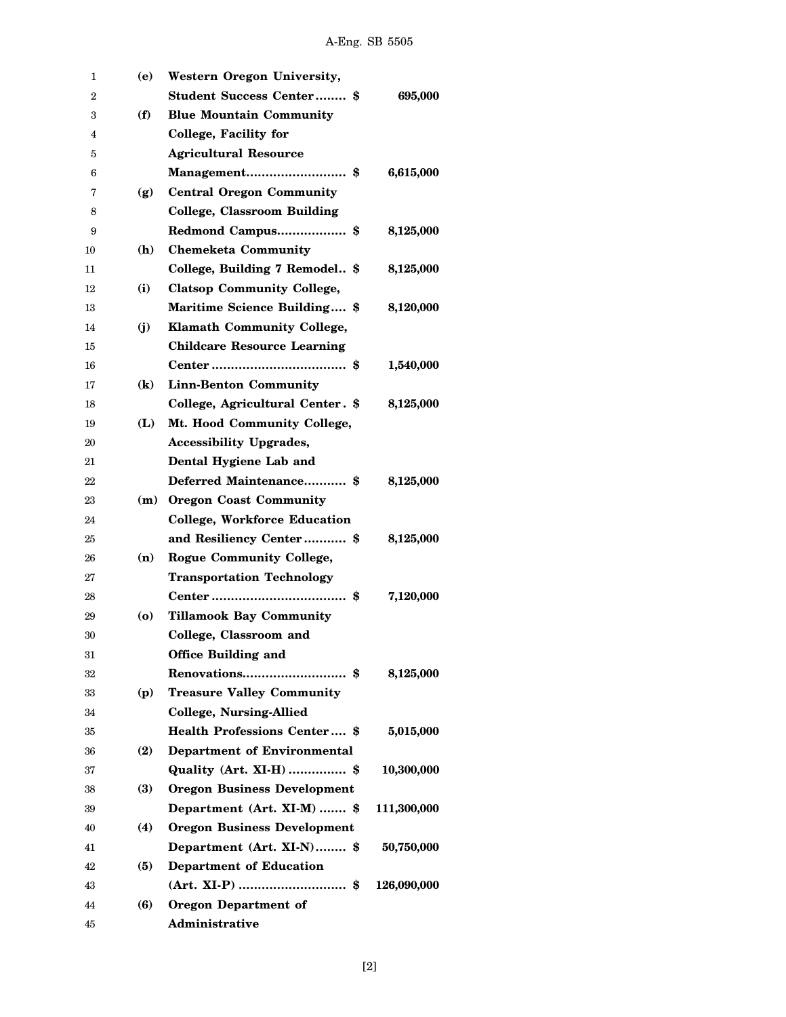| 1  | (e)      | <b>Western Oregon University,</b>   |             |
|----|----------|-------------------------------------|-------------|
| 2  |          | <b>Student Success Center \$</b>    | 695,000     |
| 3  | (f)      | <b>Blue Mountain Community</b>      |             |
| 4  |          | College, Facility for               |             |
| 5  |          | <b>Agricultural Resource</b>        |             |
| 6  |          | Management\$                        | 6,615,000   |
| 7  | (g)      | <b>Central Oregon Community</b>     |             |
| 8  |          | <b>College, Classroom Building</b>  |             |
| 9  |          | Redmond Campus \$                   | 8,125,000   |
| 10 | (h)      | <b>Chemeketa Community</b>          |             |
| 11 |          | College, Building 7 Remodel \$      | 8,125,000   |
| 12 | (i)      | <b>Clatsop Community College,</b>   |             |
| 13 |          | Maritime Science Building \$        | 8,120,000   |
| 14 | (i)      | <b>Klamath Community College,</b>   |             |
| 15 |          | <b>Childcare Resource Learning</b>  |             |
| 16 |          |                                     | 1,540,000   |
| 17 | $\bf(k)$ | <b>Linn-Benton Community</b>        |             |
| 18 |          | College, Agricultural Center. \$    | 8,125,000   |
| 19 | (L)      | Mt. Hood Community College,         |             |
| 20 |          | <b>Accessibility Upgrades,</b>      |             |
| 21 |          | Dental Hygiene Lab and              |             |
| 22 |          | Deferred Maintenance \$             | 8,125,000   |
| 23 |          | (m) Oregon Coast Community          |             |
| 24 |          | <b>College, Workforce Education</b> |             |
| 25 |          | and Resiliency Center \$            | 8,125,000   |
| 26 | (n)      | <b>Rogue Community College,</b>     |             |
| 27 |          | <b>Transportation Technology</b>    |             |
| 28 |          |                                     | 7,120,000   |
| 29 | (o)      | <b>Tillamook Bay Community</b>      |             |
| 30 |          | College, Classroom and              |             |
| 31 |          | <b>Office Building and</b>          |             |
| 32 |          |                                     | 8,125,000   |
| 33 | (p)      | <b>Treasure Valley Community</b>    |             |
| 34 |          | <b>College, Nursing-Allied</b>      |             |
| 35 |          | <b>Health Professions Center \$</b> | 5,015,000   |
| 36 | (2)      | Department of Environmental         |             |
| 37 |          | Quality (Art. XI-H)  \$             | 10,300,000  |
| 38 | (3)      | <b>Oregon Business Development</b>  |             |
| 39 |          | Department (Art. XI-M)  \$          | 111,300,000 |
| 40 | (4)      | <b>Oregon Business Development</b>  |             |
| 41 |          | Department (Art. XI-N) \$           | 50,750,000  |
| 42 | (5)      | <b>Department of Education</b>      |             |
| 43 |          | $(Art. XI-P)$ \$                    | 126,090,000 |
| 44 | (6)      | <b>Oregon Department of</b>         |             |
| 45 |          | Administrative                      |             |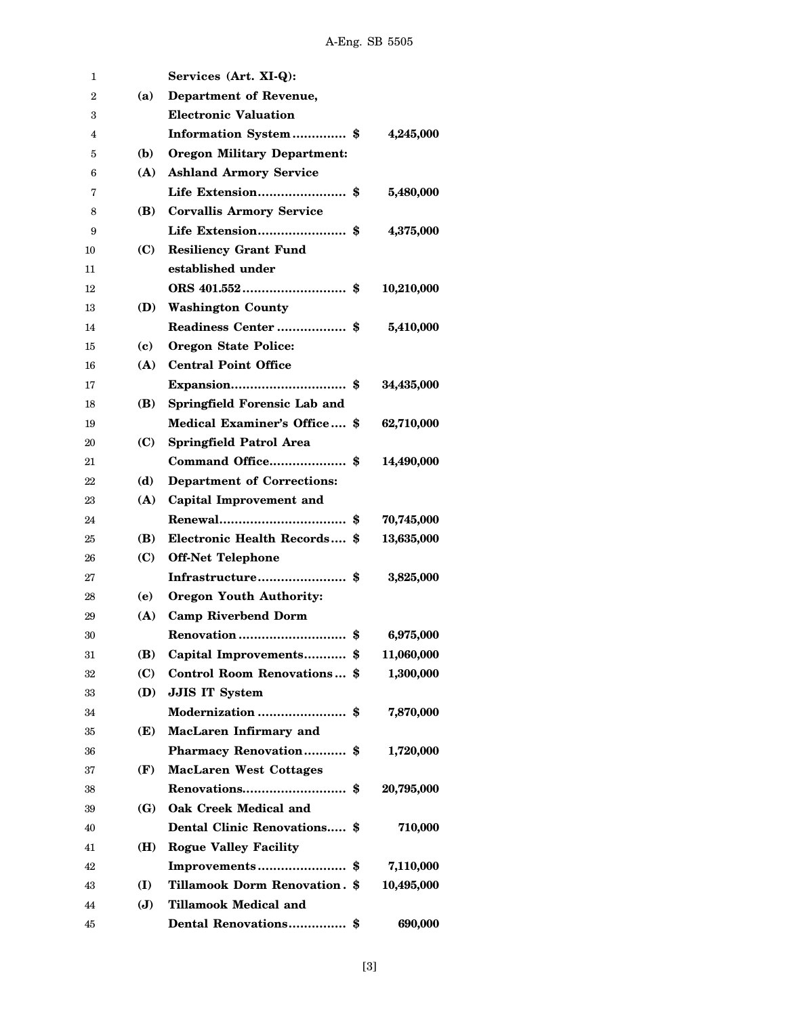| 1  |                | Services (Art. XI-Q):                |            |
|----|----------------|--------------------------------------|------------|
| 2  | (a)            | Department of Revenue,               |            |
| 3  |                | <b>Electronic Valuation</b>          |            |
| 4  |                | Information System\$                 | 4,245,000  |
| 5  | (b)            | <b>Oregon Military Department:</b>   |            |
| 6  | (A)            | <b>Ashland Armory Service</b>        |            |
| 7  |                | Life Extension \$                    | 5,480,000  |
| 8  | (B)            | <b>Corvallis Armory Service</b>      |            |
| 9  |                | Life Extension \$                    | 4,375,000  |
| 10 | (C)            | <b>Resiliency Grant Fund</b>         |            |
| 11 |                | established under                    |            |
| 12 |                |                                      | 10,210,000 |
| 13 | (D)            | <b>Washington County</b>             |            |
| 14 |                |                                      | 5,410,000  |
| 15 | (c)            | <b>Oregon State Police:</b>          |            |
| 16 | (A)            | <b>Central Point Office</b>          |            |
| 17 |                |                                      | 34,435,000 |
| 18 | (B)            | Springfield Forensic Lab and         |            |
| 19 |                | Medical Examiner's Office \$         | 62,710,000 |
| 20 | (C)            | <b>Springfield Patrol Area</b>       |            |
| 21 |                | Command Office \$                    | 14,490,000 |
| 22 | (d)            | <b>Department of Corrections:</b>    |            |
| 23 | (A)            | <b>Capital Improvement and</b>       |            |
| 24 |                |                                      | 70,745,000 |
| 25 | (B)            | Electronic Health Records \$         | 13,635,000 |
| 26 | (C)            | <b>Off-Net Telephone</b>             |            |
| 27 |                | Infrastructure\$                     | 3,825,000  |
| 28 | (e)            | <b>Oregon Youth Authority:</b>       |            |
| 29 | (A)            | <b>Camp Riverbend Dorm</b>           |            |
| 30 |                |                                      | 6,975,000  |
| 31 | (B)            | Capital Improvements \$              | 11,060,000 |
| 32 | (C)            | Control Room Renovations \$          | 1,300,000  |
| 33 | (D)            | <b>JJIS IT System</b>                |            |
| 34 |                |                                      | 7,870,000  |
| 35 | (E)            | MacLaren Infirmary and               |            |
| 36 |                | <b>Pharmacy Renovation</b> \$        | 1,720,000  |
| 37 | (F)            | <b>MacLaren West Cottages</b>        |            |
| 38 |                |                                      | 20,795,000 |
| 39 | (G)            | Oak Creek Medical and                |            |
| 40 |                | Dental Clinic Renovations \$         | 710,000    |
| 41 | (H)            | <b>Rogue Valley Facility</b>         |            |
| 42 |                |                                      | 7,110,000  |
| 43 | (I)            | <b>Tillamook Dorm Renovation. \$</b> | 10,495,000 |
| 44 | $(\mathbf{J})$ | Tillamook Medical and                |            |
| 45 |                | Dental Renovations \$                | 690,000    |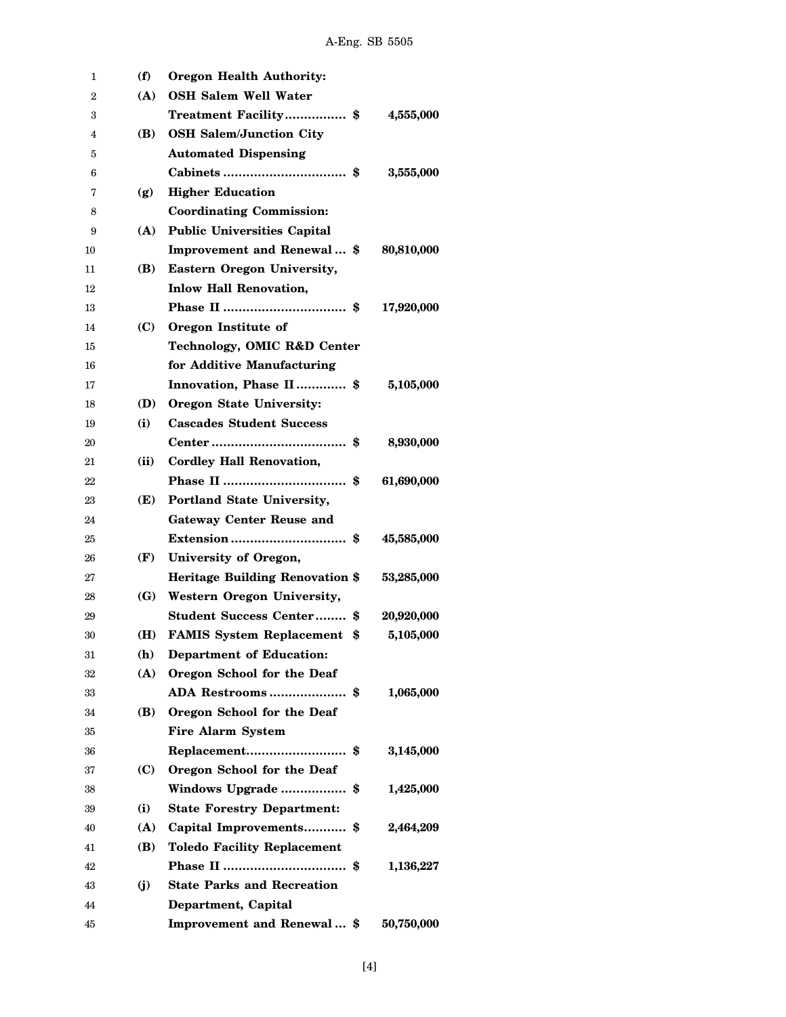| 1  | (f)  | <b>Oregon Health Authority:</b>    |            |
|----|------|------------------------------------|------------|
| 2  | (A)  | <b>OSH Salem Well Water</b>        |            |
| 3  |      | Treatment Facility\$               | 4,555,000  |
| 4  | (B)  | <b>OSH Salem/Junction City</b>     |            |
| 5  |      | <b>Automated Dispensing</b>        |            |
| 6  |      |                                    | 3,555,000  |
| 7  | (g)  | <b>Higher Education</b>            |            |
| 8  |      | <b>Coordinating Commission:</b>    |            |
| 9  | (A)  | <b>Public Universities Capital</b> |            |
| 10 |      | Improvement and Renewal \$         | 80,810,000 |
| 11 | (B)  | Eastern Oregon University,         |            |
| 12 |      | <b>Inlow Hall Renovation,</b>      |            |
| 13 |      |                                    | 17,920,000 |
| 14 | (C)  | Oregon Institute of                |            |
| 15 |      | Technology, OMIC R&D Center        |            |
| 16 |      | for Additive Manufacturing         |            |
| 17 |      | Innovation, Phase II \$            | 5,105,000  |
| 18 | (D)  | Oregon State University:           |            |
| 19 | (i)  | <b>Cascades Student Success</b>    |            |
| 20 |      |                                    | 8,930,000  |
| 21 | (ii) | <b>Cordley Hall Renovation,</b>    |            |
| 22 |      | S                                  | 61,690,000 |
| 23 | (E)  | Portland State University,         |            |
| 24 |      | <b>Gateway Center Reuse and</b>    |            |
| 25 |      |                                    | 45,585,000 |
| 26 | (F)  | University of Oregon,              |            |
| 27 |      | Heritage Building Renovation \$    | 53,285,000 |
| 28 |      | (G) Western Oregon University,     |            |
| 29 |      | <b>Student Success Center \$</b>   | 20,920,000 |
| 30 | (H)  | <b>FAMIS System Replacement \$</b> | 5,105,000  |
| 31 | (h)  | <b>Department of Education:</b>    |            |
| 32 | (A)  | Oregon School for the Deaf         |            |
| 33 |      | ADA Restrooms \$                   | 1,065,000  |
| 34 | (B)  | Oregon School for the Deaf         |            |
| 35 |      | <b>Fire Alarm System</b>           |            |
| 36 |      |                                    | 3,145,000  |
| 37 | (C)  | Oregon School for the Deaf         |            |
| 38 |      | Windows Upgrade\$                  | 1,425,000  |
| 39 | (i)  | <b>State Forestry Department:</b>  |            |
| 40 | (A)  | Capital Improvements \$            | 2,464,209  |
| 41 | (B)  | <b>Toledo Facility Replacement</b> |            |
| 42 |      |                                    | 1,136,227  |
| 43 | (i)  | <b>State Parks and Recreation</b>  |            |
| 44 |      | Department, Capital                |            |
| 45 |      | Improvement and Renewal \$         | 50,750,000 |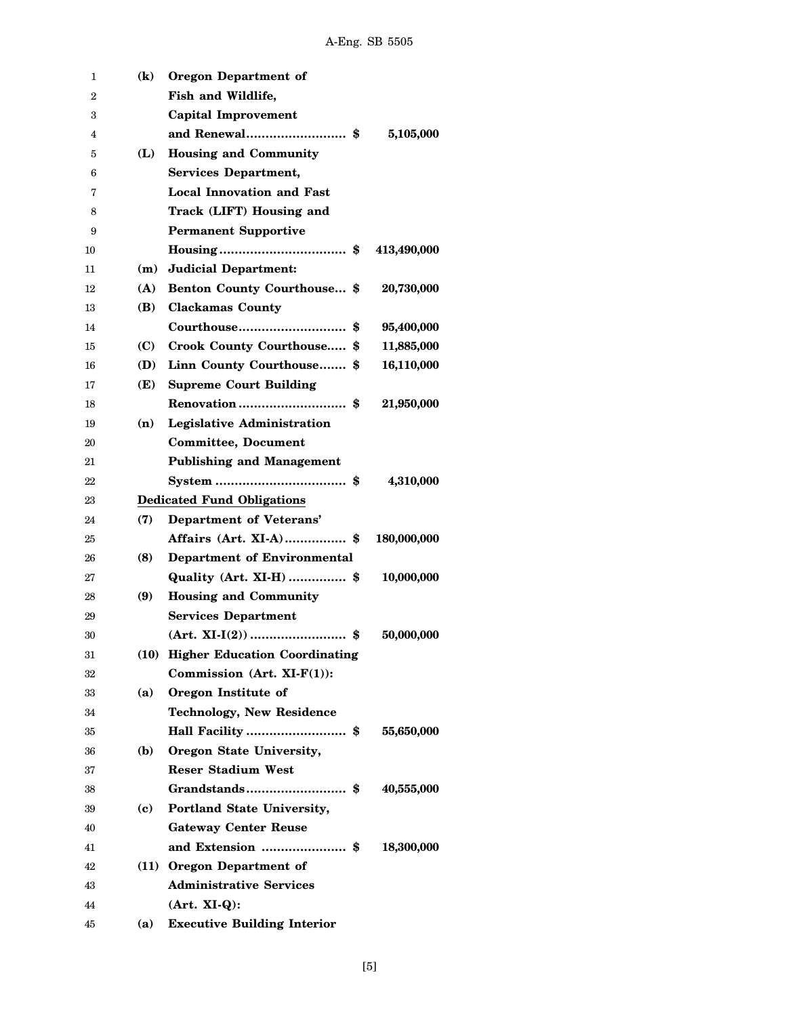| 1  | $\bf(k)$ | <b>Oregon Department of</b>        |             |
|----|----------|------------------------------------|-------------|
| 2  |          | Fish and Wildlife,                 |             |
| 3  |          | Capital Improvement                |             |
| 4  |          |                                    | 5,105,000   |
| 5  | (L)      | <b>Housing and Community</b>       |             |
| 6  |          | <b>Services Department,</b>        |             |
| 7  |          | <b>Local Innovation and Fast</b>   |             |
| 8  |          | Track (LIFT) Housing and           |             |
| 9  |          | <b>Permanent Supportive</b>        |             |
| 10 |          |                                    | 413,490,000 |
| 11 | (m)      | <b>Judicial Department:</b>        |             |
| 12 | (A)      | Benton County Courthouse \$        | 20,730,000  |
| 13 | (B)      | <b>Clackamas County</b>            |             |
| 14 |          | Courthouse<br>- \$                 | 95,400,000  |
| 15 | (C)      | Crook County Courthouse \$         | 11,885,000  |
| 16 | (D)      | Linn County Courthouse \$          | 16,110,000  |
| 17 | (E)      | <b>Supreme Court Building</b>      |             |
| 18 |          |                                    | 21,950,000  |
| 19 | (n)      | <b>Legislative Administration</b>  |             |
| 20 |          | <b>Committee, Document</b>         |             |
| 21 |          | <b>Publishing and Management</b>   |             |
| 22 |          |                                    | 4,310,000   |
| 23 |          | <b>Dedicated Fund Obligations</b>  |             |
| 24 | (7)      | Department of Veterans'            |             |
| 25 |          | Affairs (Art. XI-A) \$             | 180,000,000 |
| 26 | (8)      | <b>Department of Environmental</b> |             |
| 27 |          | Quality (Art. XI-H)  \$            | 10,000,000  |
| 28 | (9)      | <b>Housing and Community</b>       |             |
| 29 |          | <b>Services Department</b>         |             |
| 30 |          |                                    | 50,000,000  |
| 31 |          | (10) Higher Education Coordinating |             |
| 32 |          | Commission $(Art. XI-F(1))$ :      |             |
| 33 | (a)      | Oregon Institute of                |             |
| 34 |          | <b>Technology, New Residence</b>   |             |
| 35 |          | Hall Facility \$                   | 55,650,000  |
| 36 | (b)      | Oregon State University,           |             |
| 37 |          | <b>Reser Stadium West</b>          |             |
| 38 |          |                                    | 40,555,000  |
| 39 | (c)      | Portland State University,         |             |
| 40 |          | <b>Gateway Center Reuse</b>        |             |
| 41 |          |                                    | 18,300,000  |
| 42 |          | (11) Oregon Department of          |             |
| 43 |          | <b>Administrative Services</b>     |             |
| 44 |          | $(Art. XI-Q):$                     |             |
| 45 | (a)      | <b>Executive Building Interior</b> |             |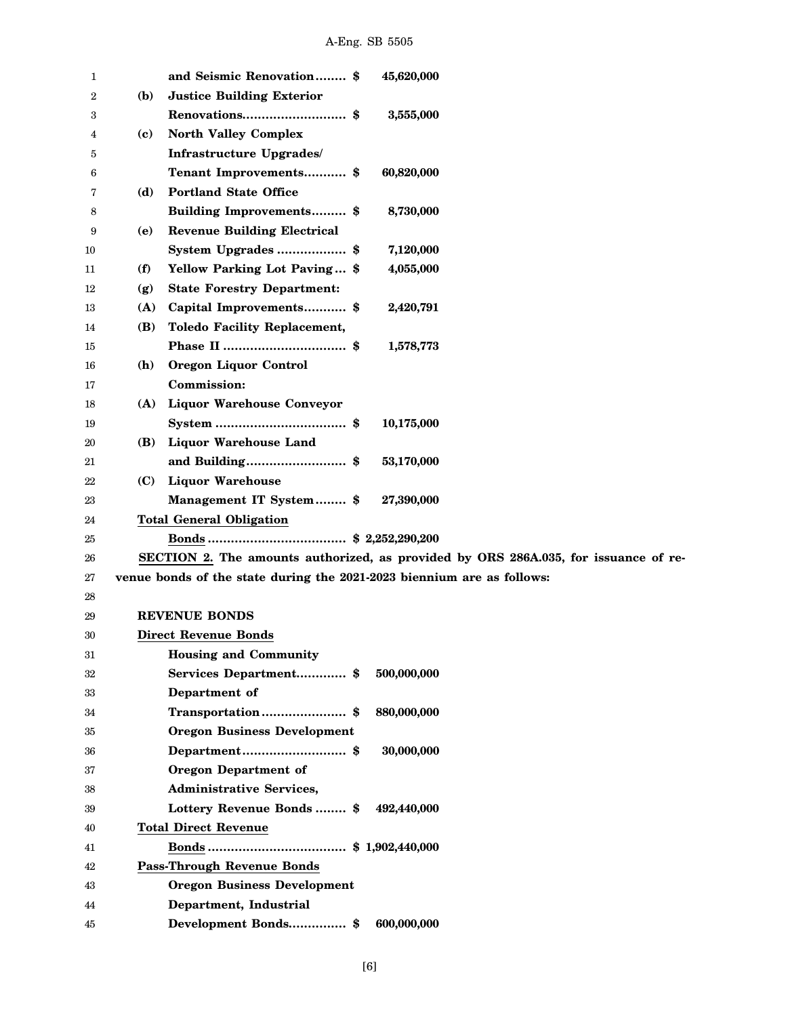| 1  |     | and Seismic Renovation \$<br>45,620,000                                             |
|----|-----|-------------------------------------------------------------------------------------|
| 2  | (b) | <b>Justice Building Exterior</b>                                                    |
| 3  |     | 3,555,000                                                                           |
| 4  | (c) | <b>North Valley Complex</b>                                                         |
| 5  |     | Infrastructure Upgrades/                                                            |
| 6  |     | Tenant Improvements \$<br>60,820,000                                                |
| 7  | (d) | <b>Portland State Office</b>                                                        |
| 8  |     | <b>Building Improvements</b> \$<br>8,730,000                                        |
| 9  | (e) | <b>Revenue Building Electrical</b>                                                  |
| 10 |     | System Upgrades\$<br>7,120,000                                                      |
| 11 | (f) | Yellow Parking Lot Paving \$<br>4,055,000                                           |
| 12 | (g) | <b>State Forestry Department:</b>                                                   |
| 13 | (A) | Capital Improvements \$<br>2,420,791                                                |
| 14 | (B) | <b>Toledo Facility Replacement,</b>                                                 |
| 15 |     | 1,578,773                                                                           |
| 16 | (h) | Oregon Liquor Control                                                               |
| 17 |     | <b>Commission:</b>                                                                  |
| 18 | (A) | <b>Liquor Warehouse Conveyor</b>                                                    |
| 19 |     | 10,175,000                                                                          |
| 20 | (B) | <b>Liquor Warehouse Land</b>                                                        |
| 21 |     | and Building\$<br>53,170,000                                                        |
| 22 | (C) | <b>Liquor Warehouse</b>                                                             |
| 23 |     | Management IT System \$<br>27,390,000                                               |
| 24 |     | <b>Total General Obligation</b>                                                     |
| 25 |     |                                                                                     |
| 26 |     | SECTION 2. The amounts authorized, as provided by ORS 286A.035, for issuance of re- |
| 27 |     | venue bonds of the state during the 2021-2023 biennium are as follows:              |
| 28 |     |                                                                                     |
| 29 |     | <b>REVENUE BONDS</b>                                                                |
| 30 |     | <b>Direct Revenue Bonds</b>                                                         |
| 31 |     | <b>Housing and Community</b>                                                        |
| 32 |     | Services Department\$<br>500,000,000                                                |
| 33 |     | Department of                                                                       |
| 34 |     | 880,000,000<br>Transportation\$                                                     |
| 35 |     | <b>Oregon Business Development</b>                                                  |
| 36 |     | Department\$<br>30,000,000                                                          |
| 37 |     | <b>Oregon Department of</b>                                                         |
| 38 |     | <b>Administrative Services,</b>                                                     |
| 39 |     | Lottery Revenue Bonds  \$<br>492,440,000                                            |
| 40 |     | <b>Total Direct Revenue</b>                                                         |
| 41 |     |                                                                                     |
| 42 |     | <b>Pass-Through Revenue Bonds</b>                                                   |
| 43 |     | <b>Oregon Business Development</b>                                                  |
| 44 |     | Department, Industrial                                                              |
| 45 |     | Development Bonds\$<br>600,000,000                                                  |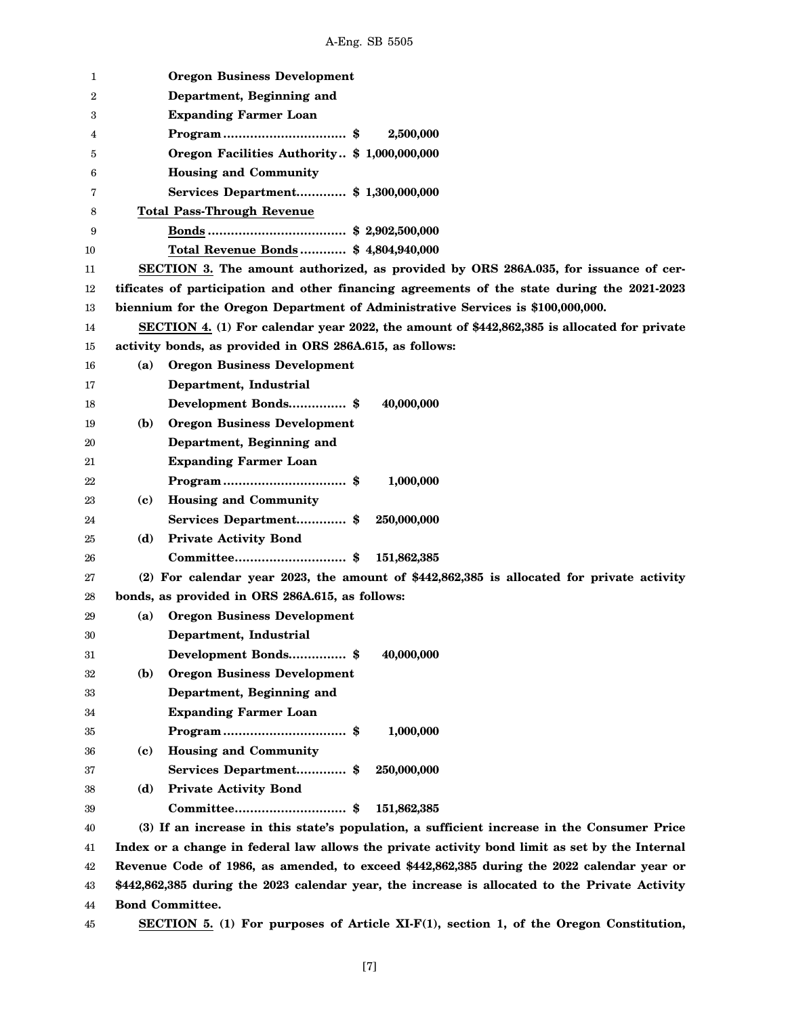| 1  |              | <b>Oregon Business Development</b>                                                             |
|----|--------------|------------------------------------------------------------------------------------------------|
| 2  |              | Department, Beginning and                                                                      |
| 3  |              | <b>Expanding Farmer Loan</b>                                                                   |
| 4  |              | 2,500,000<br>$Program \dots \dots \dots \dots \dots \dots \dots \dots \$                       |
| 5  |              | Oregon Facilities Authority \$ 1,000,000,000                                                   |
| 6  |              | <b>Housing and Community</b>                                                                   |
| 7  |              | Services Department\$ 1,300,000,000                                                            |
| 8  |              | <b>Total Pass-Through Revenue</b>                                                              |
| 9  |              |                                                                                                |
| 10 |              | Total Revenue Bonds \$4,804,940,000                                                            |
| 11 |              | SECTION 3. The amount authorized, as provided by ORS 286A.035, for issuance of cer-            |
| 12 |              | tificates of participation and other financing agreements of the state during the 2021-2023    |
| 13 |              | biennium for the Oregon Department of Administrative Services is \$100,000,000.                |
| 14 |              | SECTION 4. (1) For calendar year 2022, the amount of \$442,862,385 is allocated for private    |
| 15 |              | activity bonds, as provided in ORS 286A.615, as follows:                                       |
| 16 | (a)          | <b>Oregon Business Development</b>                                                             |
| 17 |              | Department, Industrial                                                                         |
| 18 |              | Development Bonds\$<br>40,000,000                                                              |
| 19 | ( <b>b</b> ) | <b>Oregon Business Development</b>                                                             |
| 20 |              | Department, Beginning and                                                                      |
| 21 |              | <b>Expanding Farmer Loan</b>                                                                   |
| 22 |              | 1,000,000                                                                                      |
| 23 | (c)          | <b>Housing and Community</b>                                                                   |
| 24 |              | Services Department\$<br>250,000,000                                                           |
| 25 | (d)          | <b>Private Activity Bond</b>                                                                   |
| 26 |              | 151,862,385                                                                                    |
| 27 |              | $(2)$ For calendar year 2023, the amount of \$442,862,385 is allocated for private activity    |
| 28 |              | bonds, as provided in ORS 286A.615, as follows:                                                |
| 29 | (a)          | <b>Oregon Business Development</b>                                                             |
| 30 |              | Department, Industrial                                                                         |
| 31 |              | 40,000,000<br>Development Bonds \$                                                             |
| 32 | (b)          | <b>Oregon Business Development</b>                                                             |
| 33 |              | Department, Beginning and                                                                      |
| 34 |              | <b>Expanding Farmer Loan</b>                                                                   |
| 35 |              | 1,000,000                                                                                      |
| 36 | (c)          | <b>Housing and Community</b>                                                                   |
| 37 |              | Services Department \$<br>250,000,000                                                          |
| 38 | (d)          | <b>Private Activity Bond</b>                                                                   |
| 39 |              | 151,862,385                                                                                    |
| 40 |              | (3) If an increase in this state's population, a sufficient increase in the Consumer Price     |
| 41 |              | Index or a change in federal law allows the private activity bond limit as set by the Internal |
| 42 |              | Revenue Code of 1986, as amended, to exceed \$442,862,385 during the 2022 calendar year or     |
| 43 |              | \$442,862,385 during the 2023 calendar year, the increase is allocated to the Private Activity |
| 44 |              | <b>Bond Committee.</b>                                                                         |
| 45 |              | SECTION 5. (1) For purposes of Article XI-F(1), section 1, of the Oregon Constitution,         |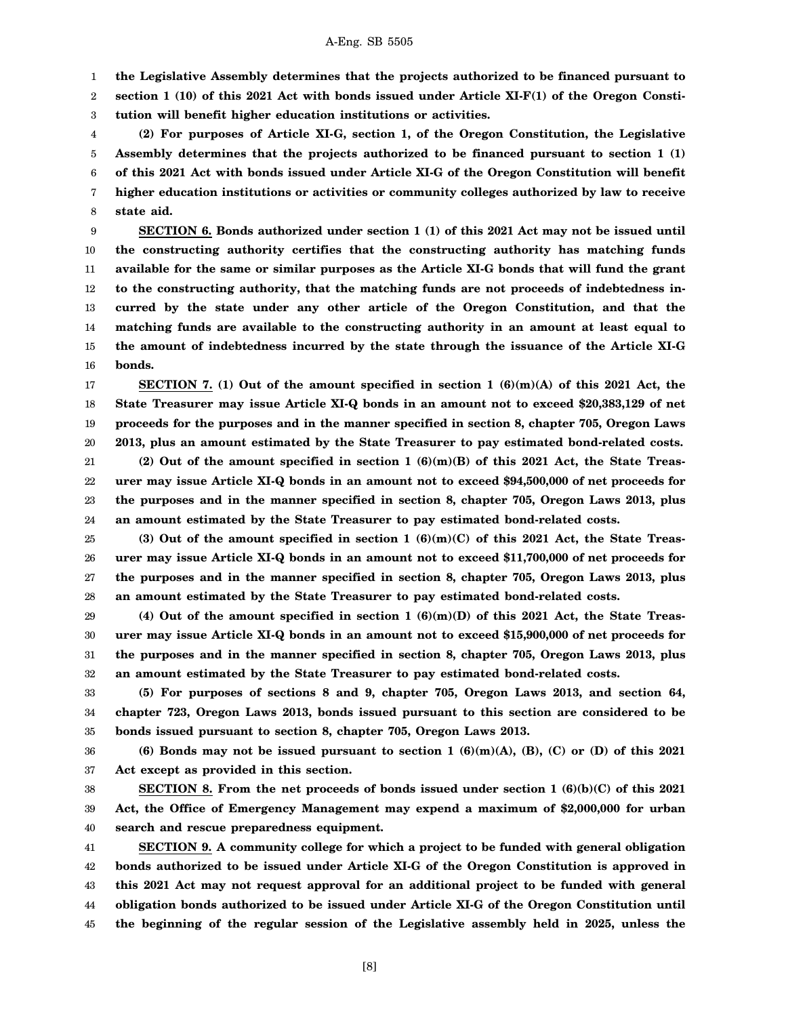1 **the Legislative Assembly determines that the projects authorized to be financed pursuant to**

2 3 **section 1 (10) of this 2021 Act with bonds issued under Article XI-F(1) of the Oregon Constitution will benefit higher education institutions or activities.**

4 5 6 7 8 **(2) For purposes of Article XI-G, section 1, of the Oregon Constitution, the Legislative Assembly determines that the projects authorized to be financed pursuant to section 1 (1) of this 2021 Act with bonds issued under Article XI-G of the Oregon Constitution will benefit higher education institutions or activities or community colleges authorized by law to receive state aid.**

9 10 11 12 13 14 15 16 **SECTION 6. Bonds authorized under section 1 (1) of this 2021 Act may not be issued until the constructing authority certifies that the constructing authority has matching funds available for the same or similar purposes as the Article XI-G bonds that will fund the grant to the constructing authority, that the matching funds are not proceeds of indebtedness incurred by the state under any other article of the Oregon Constitution, and that the matching funds are available to the constructing authority in an amount at least equal to the amount of indebtedness incurred by the state through the issuance of the Article XI-G bonds.**

17 18 19 20 **SECTION 7. (1) Out of the amount specified in section 1 (6)(m)(A) of this 2021 Act, the State Treasurer may issue Article XI-Q bonds in an amount not to exceed \$20,383,129 of net proceeds for the purposes and in the manner specified in section 8, chapter 705, Oregon Laws 2013, plus an amount estimated by the State Treasurer to pay estimated bond-related costs.**

21 22 23 24 **(2) Out of the amount specified in section 1 (6)(m)(B) of this 2021 Act, the State Treasurer may issue Article XI-Q bonds in an amount not to exceed \$94,500,000 of net proceeds for the purposes and in the manner specified in section 8, chapter 705, Oregon Laws 2013, plus an amount estimated by the State Treasurer to pay estimated bond-related costs.**

25 26 27 28 **(3) Out of the amount specified in section 1 (6)(m)(C) of this 2021 Act, the State Treasurer may issue Article XI-Q bonds in an amount not to exceed \$11,700,000 of net proceeds for the purposes and in the manner specified in section 8, chapter 705, Oregon Laws 2013, plus an amount estimated by the State Treasurer to pay estimated bond-related costs.**

29 30 31 32 **(4) Out of the amount specified in section 1 (6)(m)(D) of this 2021 Act, the State Treasurer may issue Article XI-Q bonds in an amount not to exceed \$15,900,000 of net proceeds for the purposes and in the manner specified in section 8, chapter 705, Oregon Laws 2013, plus an amount estimated by the State Treasurer to pay estimated bond-related costs.**

33 34 35 **(5) For purposes of sections 8 and 9, chapter 705, Oregon Laws 2013, and section 64, chapter 723, Oregon Laws 2013, bonds issued pursuant to this section are considered to be bonds issued pursuant to section 8, chapter 705, Oregon Laws 2013.**

36 37 **(6) Bonds may not be issued pursuant to section 1 (6)(m)(A), (B), (C) or (D) of this 2021 Act except as provided in this section.**

38 39 40 **SECTION 8. From the net proceeds of bonds issued under section 1 (6)(b)(C) of this 2021 Act, the Office of Emergency Management may expend a maximum of \$2,000,000 for urban search and rescue preparedness equipment.**

41 42 43 44 45 **SECTION 9. A community college for which a project to be funded with general obligation bonds authorized to be issued under Article XI-G of the Oregon Constitution is approved in this 2021 Act may not request approval for an additional project to be funded with general obligation bonds authorized to be issued under Article XI-G of the Oregon Constitution until the beginning of the regular session of the Legislative assembly held in 2025, unless the**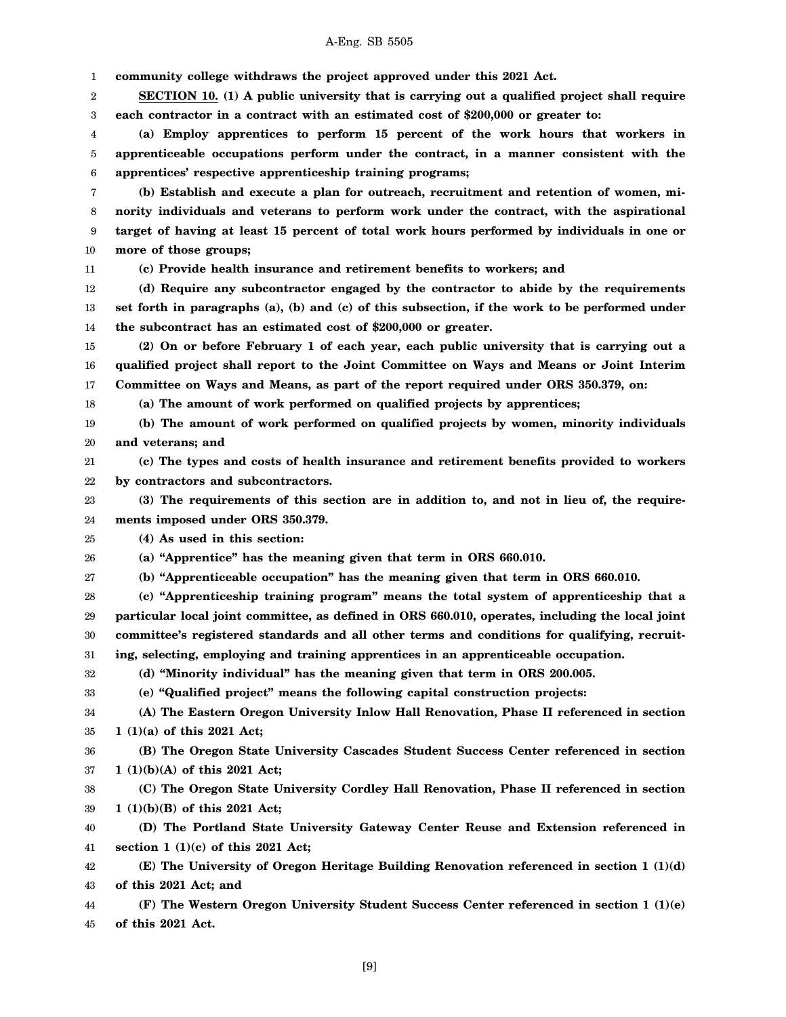## A-Eng. SB 5505

1 2 3 4 5 6 7 8 9 10 11 12 13 14 15 16 17 18 19 20 21 22 23 24 25 26 27 28 29 30 31 32 33 34 35 36 37 38 39 40 41 42 43 44 45 **community college withdraws the project approved under this 2021 Act. SECTION 10. (1) A public university that is carrying out a qualified project shall require each contractor in a contract with an estimated cost of \$200,000 or greater to: (a) Employ apprentices to perform 15 percent of the work hours that workers in apprenticeable occupations perform under the contract, in a manner consistent with the apprentices' respective apprenticeship training programs; (b) Establish and execute a plan for outreach, recruitment and retention of women, minority individuals and veterans to perform work under the contract, with the aspirational target of having at least 15 percent of total work hours performed by individuals in one or more of those groups; (c) Provide health insurance and retirement benefits to workers; and (d) Require any subcontractor engaged by the contractor to abide by the requirements set forth in paragraphs (a), (b) and (c) of this subsection, if the work to be performed under the subcontract has an estimated cost of \$200,000 or greater. (2) On or before February 1 of each year, each public university that is carrying out a qualified project shall report to the Joint Committee on Ways and Means or Joint Interim Committee on Ways and Means, as part of the report required under ORS 350.379, on: (a) The amount of work performed on qualified projects by apprentices; (b) The amount of work performed on qualified projects by women, minority individuals and veterans; and (c) The types and costs of health insurance and retirement benefits provided to workers by contractors and subcontractors. (3) The requirements of this section are in addition to, and not in lieu of, the requirements imposed under ORS 350.379. (4) As used in this section: (a) "Apprentice" has the meaning given that term in ORS 660.010. (b) "Apprenticeable occupation" has the meaning given that term in ORS 660.010. (c) "Apprenticeship training program" means the total system of apprenticeship that a particular local joint committee, as defined in ORS 660.010, operates, including the local joint committee's registered standards and all other terms and conditions for qualifying, recruiting, selecting, employing and training apprentices in an apprenticeable occupation. (d) "Minority individual" has the meaning given that term in ORS 200.005. (e) "Qualified project" means the following capital construction projects: (A) The Eastern Oregon University Inlow Hall Renovation, Phase II referenced in section 1 (1)(a) of this 2021 Act; (B) The Oregon State University Cascades Student Success Center referenced in section 1 (1)(b)(A) of this 2021 Act; (C) The Oregon State University Cordley Hall Renovation, Phase II referenced in section 1 (1)(b)(B) of this 2021 Act; (D) The Portland State University Gateway Center Reuse and Extension referenced in section 1 (1)(c) of this 2021 Act; (E) The University of Oregon Heritage Building Renovation referenced in section 1 (1)(d) of this 2021 Act; and (F) The Western Oregon University Student Success Center referenced in section 1 (1)(e) of this 2021 Act.**